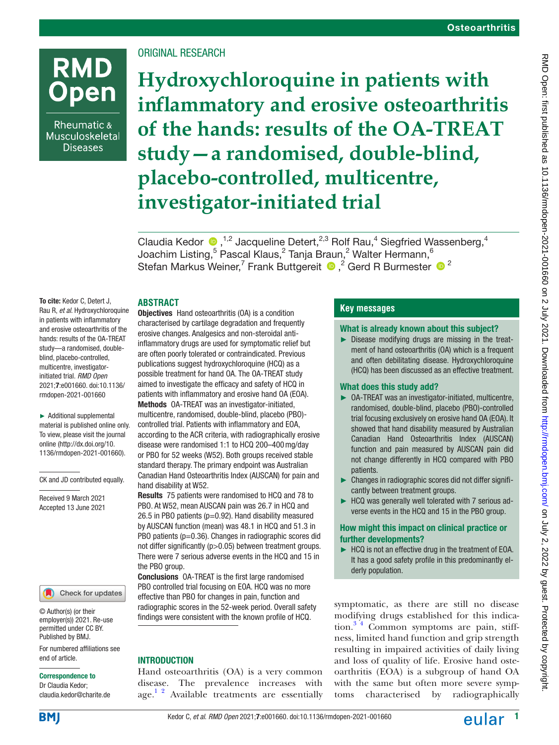# **RMD Open**

Rheumatic & Musculoskeletal **Diseases** 

# ORIGINAL RESEARCH

**Hydroxychloroquine in patients with inflammatory and erosive osteoarthritis of the hands: results of the OA-TREAT study—a randomised, double-blind, placebo-controlled, multicentre, investigator-initiated trial**

ClaudiaKedor  $\bigcirc$ ,<sup>1,2</sup> Jacqueline Detert,<sup>2,3</sup> Rolf Rau,<sup>4</sup> Siegfried Wassenberg,<sup>4</sup> Joachim Listing, $^5$  Pascal Klaus, $^2$  Tanja Braun, $^2$  Walter Hermann, $^6$ Stefan Markus Weiner,<sup>7</sup> Frank Buttgereit  $\bigcirc$ , <sup>2</sup> Gerd R Burmester  $\bigcirc$  <sup>2</sup>

## **ABSTRACT**

To cite: Kedor C, Detert J, Rau R, *et al*. Hydroxychloroquine in patients with inflammatory and erosive osteoarthritis of the hands: results of the OA-TREAT study—a randomised, doubleblind, placebo-controlled, multicentre, investigatorinitiated trial. *RMD Open* 2021;7:e001660. doi:10.1136/ rmdopen-2021-001660

► Additional supplemental material is published online only. To view, please visit the journal online (http://dx.doi.org/10. 1136/rmdopen-2021-001660).

CK and JD contributed equally.

Received 9 March 2021 Accepted 13 June 2021



© Author(s) (or their employer(s)) 2021. Re-use permitted under CC BY. Published by BMJ.

For numbered affiliations see end of article.

#### Correspondence to

Dr Claudia Kedor; claudia.kedor@charite.de

Objectives Hand osteoarthritis (OA) is a condition characterised by cartilage degradation and frequently erosive changes. Analgesics and non-steroidal antiinflammatory drugs are used for symptomatic relief but are often poorly tolerated or contraindicated. Previous publications suggest hydroxychloroquine (HCQ) as a possible treatment for hand OA. The OA-TREAT study aimed to investigate the efficacy and safety of HCQ in patients with inflammatory and erosive hand OA (EOA). Methods OA-TREAT was an investigator-initiated, multicentre, randomised, double-blind, placebo (PBO) controlled trial. Patients with inflammatory and EOA, according to the ACR criteria, with radiographically erosive disease were randomised 1:1 to HCQ 200–400mg/day or PBO for 52 weeks (W52). Both groups received stable standard therapy. The primary endpoint was Australian Canadian Hand Osteoarthritis Index (AUSCAN) for pain and hand disability at W52.

Results 75 patients were randomised to HCQ and 78 to PBO. At W52, mean AUSCAN pain was 26.7 in HCQ and 26.5 in PBO patients (p=0.92). Hand disability measured by AUSCAN function (mean) was 48.1 in HCQ and 51.3 in PBO patients (p=0.36). Changes in radiographic scores did not differ significantly (p>0.05) between treatment groups. There were 7 serious adverse events in the HCQ and 15 in the PBO group.

Conclusions OA-TREAT is the first large randomised PBO controlled trial focusing on EOA. HCQ was no more effective than PBO for changes in pain, function and radiographic scores in the 52-week period. Overall safety findings were consistent with the known profile of HCQ.

#### **INTRODUCTION**

Hand osteoarthritis (OA) is a very common disease. The prevalence increases with age. $1$ <sup>2</sup> Available treatments are essentially

## **Key messages**

#### What is already known about this subject?

► Disease modifying drugs are missing in the treatment of hand osteoarthritis (OA) which is a frequent and often debilitating disease. Hydroxychloroquine (HCQ) has been discussed as an effective treatment.

#### What does this study add?

- ► OA-TREAT was an investigator-initiated, multicentre, randomised, double-blind, placebo (PBO)-controlled trial focusing exclusively on erosive hand OA (EOA). It showed that hand disability measured by Australian Canadian Hand Osteoarthritis Index (AUSCAN) function and pain measured by AUSCAN pain did not change differently in HCQ compared with PBO patients.
- ► Changes in radiographic scores did not differ significantly between treatment groups.
- ► HCQ was generally well tolerated with 7 serious adverse events in the HCQ and 15 in the PBO group.

#### How might this impact on clinical practice or further developments?

► HCQ is not an effective drug in the treatment of EOA. It has a good safety profile in this predominantly elderly population.

symptomatic, as there are still no disease modifying drugs established for this indication. $3<sup>4</sup>$  Common symptoms are pain, stiffness, limited hand function and grip strength resulting in impaired activities of daily living and loss of quality of life. Erosive hand osteoarthritis (EOA) is a subgroup of hand OA with the same but often more severe symptoms characterised by radiographically



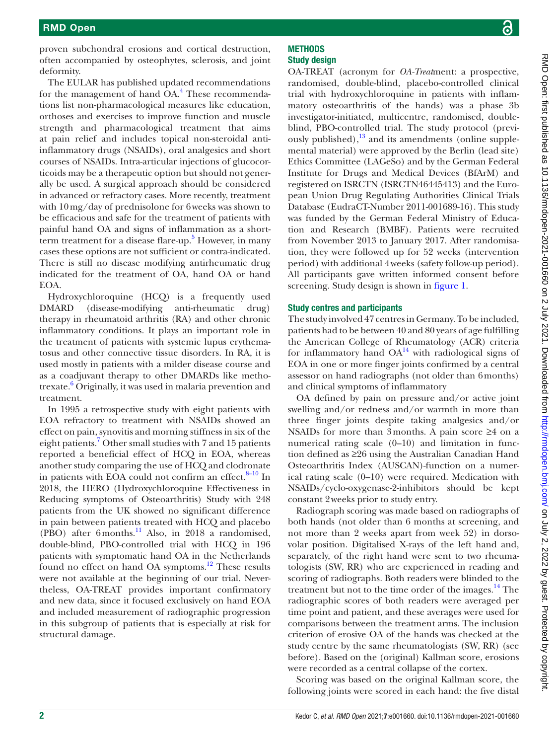proven subchondral erosions and cortical destruction, often accompanied by osteophytes, sclerosis, and joint deformity.

The EULAR has published updated recommendations for the management of hand OA.<sup>[4](#page-8-2)</sup> These recommendations list non-pharmacological measures like education, orthoses and exercises to improve function and muscle strength and pharmacological treatment that aims at pain relief and includes topical non-steroidal antiinflammatory drugs (NSAIDs), oral analgesics and short courses of NSAIDs. Intra-articular injections of glucocorticoids may be a therapeutic option but should not generally be used. A surgical approach should be considered in advanced or refractory cases. More recently, treatment with 10mg/day of prednisolone for 6weeks was shown to be efficacious and safe for the treatment of patients with painful hand OA and signs of inflammation as a short-term treatment for a disease flare-up.<sup>[5](#page-8-3)</sup> However, in many cases these options are not sufficient or contra-indicated. There is still no disease modifying antirheumatic drug indicated for the treatment of OA, hand OA or hand EOA.

Hydroxychloroquine (HCQ) is a frequently used DMARD (disease-modifying anti-rheumatic drug) therapy in rheumatoid arthritis (RA) and other chronic inflammatory conditions. It plays an important role in the treatment of patients with systemic lupus erythematosus and other connective tissue disorders. In RA, it is used mostly in patients with a milder disease course and as a coadjuvant therapy to other DMARDs like methotrexate.<sup>6</sup> Originally, it was used in malaria prevention and treatment.

In 1995 a retrospective study with eight patients with EOA refractory to treatment with NSAIDs showed an effect on pain, synovitis and morning stiffness in six of the eight patients.<sup>7</sup> Other small studies with 7 and 15 patients reported a beneficial effect of HCQ in EOA, whereas another study comparing the use of HCQ and clodronate in patients with EOA could not confirm an effect. $8-10$  In 2018, the HERO (Hydroxychloroquine Effectiveness in Reducing symptoms of Osteoarthritis) Study with 248 patients from the UK showed no significant difference in pain between patients treated with HCQ and placebo (PBO) after 6months.<sup>[11](#page-9-2)</sup> Also, in 2018 a randomised, double-blind, PBO-controlled trial with HCQ in 196 patients with symptomatic hand OA in the Netherlands found no effect on hand OA symptoms.<sup>12</sup> These results were not available at the beginning of our trial. Nevertheless, OA-TREAT provides important confirmatory and new data, since it focused exclusively on hand EOA and included measurement of radiographic progression in this subgroup of patients that is especially at risk for structural damage.

### **METHODS** Study design

OA-TREAT (acronym for *OA-Treat*ment: a prospective, randomised, double-blind, placebo-controlled clinical trial with hydroxychloroquine in patients with inflammatory osteoarthritis of the hands) was a phase 3b investigator-initiated, multicentre, randomised, doubleblind, PBO-controlled trial. The study protocol (previously published), $^{13}$  $^{13}$  $^{13}$  and its amendments [\(online supple](https://dx.doi.org/10.1136/rmdopen-2021-001660)[mental material\)](https://dx.doi.org/10.1136/rmdopen-2021-001660) were approved by the Berlin (lead site) Ethics Committee (LAGeSo) and by the German Federal Institute for Drugs and Medical Devices (BfArM) and registered on ISRCTN (ISRCTN46445413) and the European Union Drug Regulating Authorities Clinical Trials Database (EudraCT-Number 2011-001689-16). This study was funded by the German Federal Ministry of Education and Research (BMBF). Patients were recruited from November 2013 to January 2017. After randomisation, they were followed up for 52 weeks (intervention period) with additional 4weeks (safety follow-up period). All participants gave written informed consent before screening. Study design is shown in [figure](#page-2-0) 1.

## Study centres and participants

The study involved 47 centres in Germany. To be included, patients had to be between 40 and 80 years of age fulfilling the American College of Rheumatology (ACR) criteria for inflammatory hand  $OA^{14}$  with radiological signs of EOA in one or more finger joints confirmed by a central assessor on hand radiographs (not older than 6months) and clinical symptoms of inflammatory

OA defined by pain on pressure and/or active joint swelling and/or redness and/or warmth in more than three finger joints despite taking analgesics and/or NSAIDs for more than 3months. A pain score ≥4 on a numerical rating scale (0–10) and limitation in function defined as ≥26 using the Australian Canadian Hand Osteoarthritis Index (AUSCAN)-function on a numerical rating scale (0–10) were required. Medication with NSAIDs/cyclo-oxygenase-2-inhibitors should be kept constant 2weeks prior to study entry.

Radiograph scoring was made based on radiographs of both hands (not older than 6 months at screening, and not more than 2 weeks apart from week 52) in dorsovolar position. Digitalised X-rays of the left hand and, separately, of the right hand were sent to two rheumatologists (SW, RR) who are experienced in reading and scoring of radiographs. Both readers were blinded to the treatment but not to the time order of the images.<sup>14</sup> The radiographic scores of both readers were averaged per time point and patient, and these averages were used for comparisons between the treatment arms. The inclusion criterion of erosive OA of the hands was checked at the study centre by the same rheumatologists (SW, RR) (see before). Based on the (original) Kallman score, erosions were recorded as a central collapse of the cortex.

Scoring was based on the original Kallman score, the following joints were scored in each hand: the five distal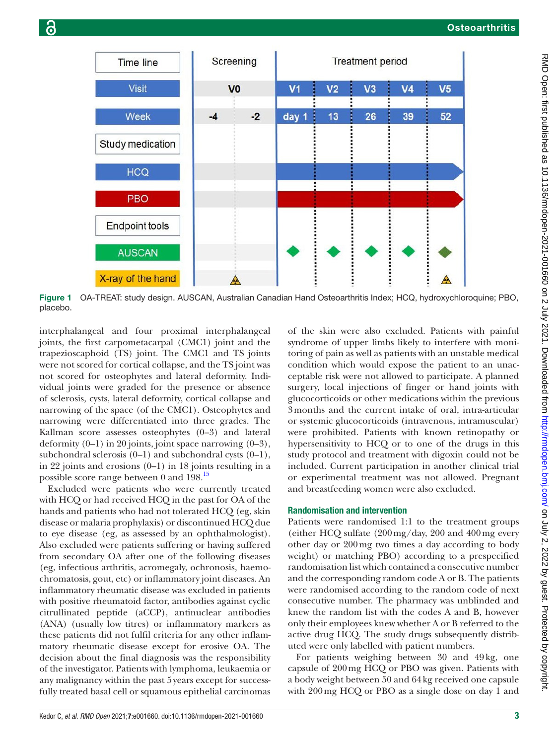

<span id="page-2-0"></span>Figure 1 OA-TREAT: study design. AUSCAN, Australian Canadian Hand Osteoarthritis Index; HCQ, hydroxychloroquine; PBO, placebo.

interphalangeal and four proximal interphalangeal joints, the first carpometacarpal (CMC1) joint and the trapezioscaphoid (TS) joint. The CMC1 and TS joints were not scored for cortical collapse, and the TS joint was not scored for osteophytes and lateral deformity. Individual joints were graded for the presence or absence of sclerosis, cysts, lateral deformity, cortical collapse and narrowing of the space (of the CMC1). Osteophytes and narrowing were differentiated into three grades. The Kallman score assesses osteophytes (0–3) and lateral deformity (0–1) in 20 joints, joint space narrowing (0–3), subchondral sclerosis  $(0-1)$  and subchondral cysts  $(0-1)$ , in 22 joints and erosions (0–1) in 18 joints resulting in a possible score range between 0 and 198[.15](#page-9-6)

Excluded were patients who were currently treated with HCQ or had received HCQ in the past for OA of the hands and patients who had not tolerated HCQ (eg, skin disease or malaria prophylaxis) or discontinued HCQ due to eye disease (eg, as assessed by an ophthalmologist). Also excluded were patients suffering or having suffered from secondary OA after one of the following diseases (eg, infectious arthritis, acromegaly, ochronosis, haemochromatosis, gout, etc) or inflammatory joint diseases. An inflammatory rheumatic disease was excluded in patients with positive rheumatoid factor, antibodies against cyclic citrullinated peptide (aCCP), antinuclear antibodies (ANA) (usually low titres) or inflammatory markers as these patients did not fulfil criteria for any other inflammatory rheumatic disease except for erosive OA. The decision about the final diagnosis was the responsibility of the investigator. Patients with lymphoma, leukaemia or any malignancy within the past 5years except for successfully treated basal cell or squamous epithelial carcinomas

of the skin were also excluded. Patients with painful syndrome of upper limbs likely to interfere with monitoring of pain as well as patients with an unstable medical condition which would expose the patient to an unacceptable risk were not allowed to participate. A planned surgery, local injections of finger or hand joints with glucocorticoids or other medications within the previous 3months and the current intake of oral, intra-articular or systemic glucocorticoids (intravenous, intramuscular) were prohibited. Patients with known retinopathy or hypersensitivity to HCQ or to one of the drugs in this study protocol and treatment with digoxin could not be included. Current participation in another clinical trial or experimental treatment was not allowed. Pregnant and breastfeeding women were also excluded.

#### Randomisation and intervention

Patients were randomised 1:1 to the treatment groups (either HCQ sulfate (200mg/day, 200 and 400mg every other day or 200mg two times a day according to body weight) or matching PBO) according to a prespecified randomisation list which contained a consecutive number and the corresponding random code A or B. The patients were randomised according to the random code of next consecutive number. The pharmacy was unblinded and knew the random list with the codes A and B, however only their employees knew whether A or B referred to the active drug HCQ. The study drugs subsequently distributed were only labelled with patient numbers.

For patients weighing between 30 and 49kg, one capsule of 200mg HCQ or PBO was given. Patients with a body weight between 50 and 64kg received one capsule with 200mg HCQ or PBO as a single dose on day 1 and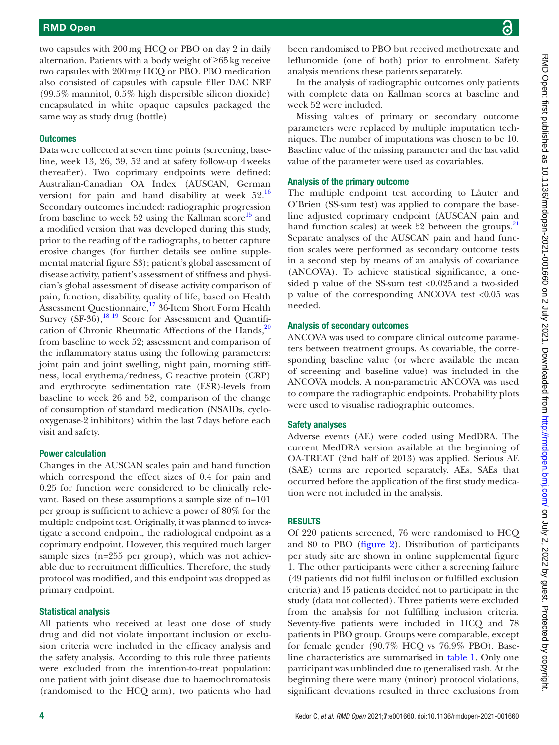two capsules with 200mg HCQ or PBO on day 2 in daily alternation. Patients with a body weight of ≥65kg receive two capsules with 200mg HCQ or PBO. PBO medication also consisted of capsules with capsule filler DAC NRF (99.5% mannitol, 0.5% high dispersible silicon dioxide) encapsulated in white opaque capsules packaged the same way as study drug (bottle)

## **Outcomes**

Data were collected at seven time points (screening, baseline, week 13, 26, 39, 52 and at safety follow-up 4weeks thereafter). Two coprimary endpoints were defined: Australian-Canadian OA Index (AUSCAN, German version) for pain and hand disability at week  $52<sup>16</sup>$ Secondary outcomes included: radiographic progression from baseline to week 52 using the Kallman score<sup>15</sup> and a modified version that was developed during this study, prior to the reading of the radiographs, to better capture erosive changes (for further details see [online supple](https://dx.doi.org/10.1136/rmdopen-2021-001660)[mental material figure S3](https://dx.doi.org/10.1136/rmdopen-2021-001660)); patient's global assessment of disease activity, patient's assessment of stiffness and physician's global assessment of disease activity comparison of pain, function, disability, quality of life, based on Health Assessment Questionnaire,<sup>17</sup> 36-Item Short Form Health Survey  $(SF-36)$ ,  $^{18}$  19 Score for Assessment and Quantification of Chronic Rheumatic Affections of the Hands, $20$ from baseline to week 52; assessment and comparison of the inflammatory status using the following parameters: joint pain and joint swelling, night pain, morning stiffness, local erythema/redness, C reactive protein (CRP) and erythrocyte sedimentation rate (ESR)-levels from baseline to week 26 and 52, comparison of the change of consumption of standard medication (NSAIDs, cyclooxygenase-2 inhibitors) within the last 7days before each visit and safety.

## Power calculation

Changes in the AUSCAN scales pain and hand function which correspond the effect sizes of 0.4 for pain and 0.25 for function were considered to be clinically relevant. Based on these assumptions a sample size of n=101 per group is sufficient to achieve a power of 80% for the multiple endpoint test. Originally, it was planned to investigate a second endpoint, the radiological endpoint as a coprimary endpoint. However, this required much larger sample sizes (n=255 per group), which was not achievable due to recruitment difficulties. Therefore, the study protocol was modified, and this endpoint was dropped as primary endpoint.

# Statistical analysis

All patients who received at least one dose of study drug and did not violate important inclusion or exclusion criteria were included in the efficacy analysis and the safety analysis. According to this rule three patients were excluded from the intention-to-treat population: one patient with joint disease due to haemochromatosis (randomised to the HCQ arm), two patients who had

been randomised to PBO but received methotrexate and leflunomide (one of both) prior to enrolment. Safety analysis mentions these patients separately.

In the analysis of radiographic outcomes only patients with complete data on Kallman scores at baseline and week 52 were included.

Missing values of primary or secondary outcome parameters were replaced by multiple imputation techniques. The number of imputations was chosen to be 10. Baseline value of the missing parameter and the last valid value of the parameter were used as covariables.

## Analysis of the primary outcome

The multiple endpoint test according to Läuter and O'Brien (SS-sum test) was applied to compare the baseline adjusted coprimary endpoint (AUSCAN pain and hand function scales) at week 52 between the groups.<sup>21</sup> Separate analyses of the AUSCAN pain and hand function scales were performed as secondary outcome tests in a second step by means of an analysis of covariance (ANCOVA). To achieve statistical significance, a onesided p value of the SS-sum test <0.025and a two-sided p value of the corresponding ANCOVA test <0.05 was needed.

## Analysis of secondary outcomes

ANCOVA was used to compare clinical outcome parameters between treatment groups. As covariable, the corresponding baseline value (or where available the mean of screening and baseline value) was included in the ANCOVA models. A non-parametric ANCOVA was used to compare the radiographic endpoints. Probability plots were used to visualise radiographic outcomes.

# Safety analyses

Adverse events (AE) were coded using MedDRA. The current MedDRA version available at the beginning of OA-TREAT (2nd half of 2013) was applied. Serious AE (SAE) terms are reported separately. AEs, SAEs that occurred before the application of the first study medication were not included in the analysis.

# RESULTS

Of 220 patients screened, 76 were randomised to HCQ and 80 to PBO ([figure](#page-4-0) 2). Distribution of participants per study site are shown in [online supplemental figure](https://dx.doi.org/10.1136/rmdopen-2021-001660) [1](https://dx.doi.org/10.1136/rmdopen-2021-001660). The other participants were either a screening failure (49 patients did not fulfil inclusion or fulfilled exclusion criteria) and 15 patients decided not to participate in the study (data not collected). Three patients were excluded from the analysis for not fulfilling inclusion criteria. Seventy-five patients were included in HCQ and 78 patients in PBO group. Groups were comparable, except for female gender (90.7% HCQ vs 76.9% PBO). Baseline characteristics are summarised in [table](#page-5-0) 1. Only one participant was unblinded due to generalised rash. At the beginning there were many (minor) protocol violations, significant deviations resulted in three exclusions from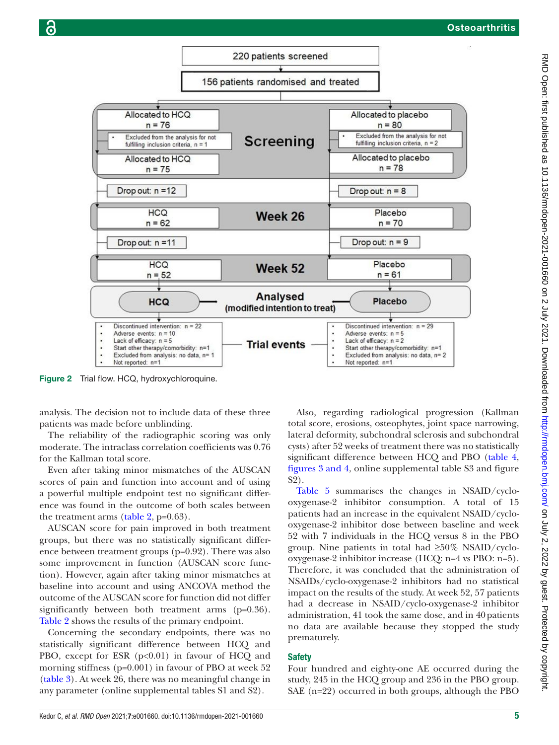

<span id="page-4-0"></span>Figure 2 Trial flow. HCQ, hydroxychloroquine.

analysis. The decision not to include data of these three patients was made before unblinding.

The reliability of the radiographic scoring was only moderate. The intraclass correlation coefficients was 0.76 for the Kallman total score.

Even after taking minor mismatches of the AUSCAN scores of pain and function into account and of using a powerful multiple endpoint test no significant difference was found in the outcome of both scales between the treatment arms [\(table](#page-5-1)  $2$ , p=0.63).

AUSCAN score for pain improved in both treatment groups, but there was no statistically significant difference between treatment groups (p=0.92). There was also some improvement in function (AUSCAN score function). However, again after taking minor mismatches at baseline into account and using ANCOVA method the outcome of the AUSCAN score for function did not differ significantly between both treatment arms (p=0.36). [Table](#page-5-1) 2 shows the results of the primary endpoint.

Concerning the secondary endpoints, there was no statistically significant difference between HCQ and PBO, except for ESR (p<0.01) in favour of HCQ and morning stiffness (p=0.001) in favour of PBO at week 52 [\(table](#page-6-0) 3). At week 26, there was no meaningful change in any parameter ([online supplemental tables S1 and S2\)](https://dx.doi.org/10.1136/rmdopen-2021-001660).

Also, regarding radiological progression (Kallman total score, erosions, osteophytes, joint space narrowing, lateral deformity, subchondral sclerosis and subchondral cysts) after 52 weeks of treatment there was no statistically significant difference between HCQ and PBO [\(table](#page-6-1) 4, figures [3 and 4,](#page-7-0) [online supplemental table S3 and figure](https://dx.doi.org/10.1136/rmdopen-2021-001660) [S2](https://dx.doi.org/10.1136/rmdopen-2021-001660)).

[Table](#page-7-1) 5 summarises the changes in NSAID/cyclooxygenase-2 inhibitor consumption. A total of 15 patients had an increase in the equivalent NSAID/cyclooxygenase-2 inhibitor dose between baseline and week 52 with 7 individuals in the HCQ versus 8 in the PBO group. Nine patients in total had  $\geq 50\%$  NSAID/cyclooxygenase-2 inhibitor increase (HCQ: n=4 vs PBO: n=5). Therefore, it was concluded that the administration of NSAIDs/cyclo-oxygenase-2 inhibitors had no statistical impact on the results of the study. At week 52, 57 patients had a decrease in NSAID/cyclo-oxygenase-2 inhibitor administration, 41 took the same dose, and in 40patients no data are available because they stopped the study prematurely.

## Safety

Four hundred and eighty-one AE occurred during the study, 245 in the HCQ group and 236 in the PBO group. SAE (n=22) occurred in both groups, although the PBO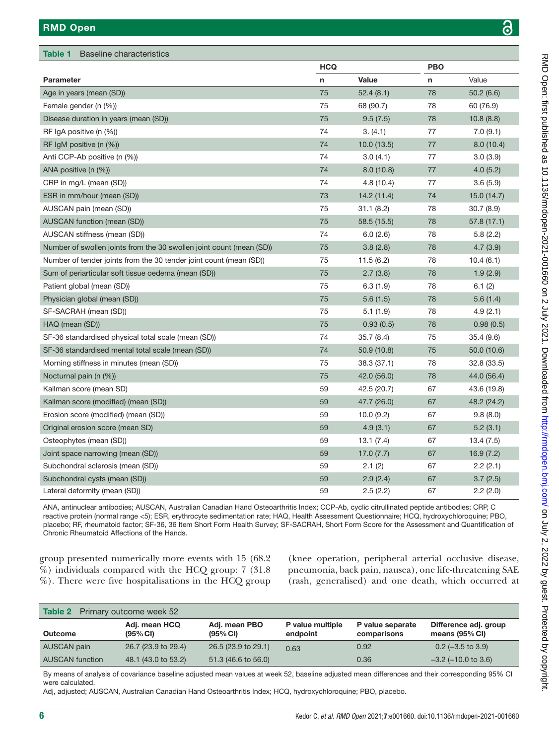<span id="page-5-0"></span>

| Table 1<br><b>Baseline characteristics</b>                           |            |             |            |             |  |
|----------------------------------------------------------------------|------------|-------------|------------|-------------|--|
|                                                                      | <b>HCQ</b> |             | <b>PBO</b> |             |  |
| <b>Parameter</b>                                                     | n          | Value       | n          | Value       |  |
| Age in years (mean (SD))                                             | 75         | 52.4(8.1)   | 78         | 50.2(6.6)   |  |
| Female gender (n (%))                                                | 75         | 68 (90.7)   | 78         | 60 (76.9)   |  |
| Disease duration in years (mean (SD))                                | 75         | 9.5(7.5)    | 78         | 10.8(8.8)   |  |
| RF IgA positive (n (%))                                              | 74         | 3. (4.1)    | 77         | 7.0(9.1)    |  |
| RF $IqM$ positive $(n (%))$                                          | 74         | 10.0(13.5)  | 77         | 8.0(10.4)   |  |
| Anti CCP-Ab positive (n (%))                                         | 74         | 3.0(4.1)    | 77         | 3.0(3.9)    |  |
| ANA positive (n (%))                                                 | 74         | 8.0(10.8)   | 77         | 4.0(5.2)    |  |
| CRP in mg/L (mean (SD))                                              | 74         | 4.8(10.4)   | 77         | 3.6(5.9)    |  |
| ESR in mm/hour (mean (SD))                                           | 73         | 14.2 (11.4) | 74         | 15.0(14.7)  |  |
| AUSCAN pain (mean (SD))                                              | 75         | 31.1(8.2)   | 78         | 30.7(8.9)   |  |
| AUSCAN function (mean (SD))                                          | 75         | 58.5 (15.5) | 78         | 57.8(17.1)  |  |
| AUSCAN stiffness (mean (SD))                                         | 74         | 6.0(2.6)    | 78         | 5.8(2.2)    |  |
| Number of swollen joints from the 30 swollen joint count (mean (SD)) | 75         | 3.8(2.8)    | 78         | 4.7(3.9)    |  |
| Number of tender joints from the 30 tender joint count (mean (SD))   | 75         | 11.5(6.2)   | 78         | 10.4(6.1)   |  |
| Sum of periarticular soft tissue oedema (mean (SD))                  | 75         | 2.7(3.8)    | 78         | 1.9(2.9)    |  |
| Patient global (mean (SD))                                           | 75         | 6.3(1.9)    | 78         | 6.1(2)      |  |
| Physician global (mean (SD))                                         | 75         | 5.6(1.5)    | 78         | 5.6(1.4)    |  |
| SF-SACRAH (mean (SD))                                                | 75         | 5.1(1.9)    | 78         | 4.9(2.1)    |  |
| HAQ (mean (SD))                                                      | 75         | 0.93(0.5)   | 78         | 0.98(0.5)   |  |
| SF-36 standardised physical total scale (mean (SD))                  | 74         | 35.7(8.4)   | 75         | 35.4(9.6)   |  |
| SF-36 standardised mental total scale (mean (SD))                    | 74         | 50.9 (10.8) | 75         | 50.0 (10.6) |  |
| Morning stiffness in minutes (mean (SD))                             | 75         | 38.3 (37.1) | 78         | 32.8 (33.5) |  |
| Nocturnal pain (n (%))                                               | 75         | 42.0 (56.0) | 78         | 44.0 (56.4) |  |
| Kallman score (mean SD)                                              | 59         | 42.5 (20.7) | 67         | 43.6 (19.8) |  |
| Kallman score (modified) (mean (SD))                                 | 59         | 47.7 (26.0) | 67         | 48.2 (24.2) |  |
| Erosion score (modified) (mean (SD))                                 | 59         | 10.0(9.2)   | 67         | 9.8(8.0)    |  |
| Original erosion score (mean SD)                                     | 59         | 4.9(3.1)    | 67         | 5.2(3.1)    |  |
| Osteophytes (mean (SD))                                              | 59         | 13.1(7.4)   | 67         | 13.4(7.5)   |  |
| Joint space narrowing (mean (SD))                                    | 59         | 17.0(7.7)   | 67         | 16.9(7.2)   |  |
| Subchondral sclerosis (mean (SD))                                    | 59         | 2.1(2)      | 67         | 2.2(2.1)    |  |
| Subchondral cysts (mean (SD))                                        | 59         | 2.9(2.4)    | 67         | 3.7(2.5)    |  |
| Lateral deformity (mean (SD))                                        | 59         | 2.5(2.2)    | 67         | 2.2(2.0)    |  |

ANA, antinuclear antibodies; AUSCAN, Australian Canadian Hand Osteoarthritis Index; CCP-Ab, cyclic citrullinated peptide antibodies; CRP, C reactive protein (normal range <5); ESR, erythrocyte sedimentation rate; HAQ, Health Assessment Questionnaire; HCQ, hydroxychloroquine; PBO, placebo; RF, rheumatoid factor; SF-36, 36 Item Short Form Health Survey; SF-SACRAH, Short Form Score for the Assessment and Quantification of Chronic Rheumatoid Affections of the Hands.

group presented numerically more events with 15 (68.2 %) individuals compared with the HCQ group: 7 (31.8 %). There were five hospitalisations in the HCQ group

(knee operation, peripheral arterial occlusive disease, pneumonia, back pain, nausea), one life-threatening SAE (rash, generalised) and one death, which occurred at

<span id="page-5-1"></span>

| <b>Table 2</b><br>Primary outcome week 52 |                                        |                              |                              |                                 |                                           |  |  |  |
|-------------------------------------------|----------------------------------------|------------------------------|------------------------------|---------------------------------|-------------------------------------------|--|--|--|
| Outcome                                   | Adj. mean HCQ<br>$(95\% \, \text{Cl})$ | Adj. mean PBO<br>$(95\%$ CI) | P value multiple<br>endpoint | P value separate<br>comparisons | Difference adj. group<br>means $(95%$ CI) |  |  |  |
| AUSCAN pain                               | 26.7 (23.9 to 29.4)                    | 26.5 (23.9 to 29.1)          | 0.63                         | 0.92                            | $0.2$ (-3.5 to 3.9)                       |  |  |  |
| <b>AUSCAN</b> function                    | 48.1 (43.0 to 53.2)                    | 51.3 (46.6 to 56.0)          |                              | 0.36                            | $-3.2$ ( $-10.0$ to 3.6)                  |  |  |  |

By means of analysis of covariance baseline adjusted mean values at week 52, baseline adjusted mean differences and their corresponding 95% CI were calculated.

Adj, adjusted; AUSCAN, Australian Canadian Hand Osteoarthritis Index; HCQ, hydroxychloroquine; PBO, placebo.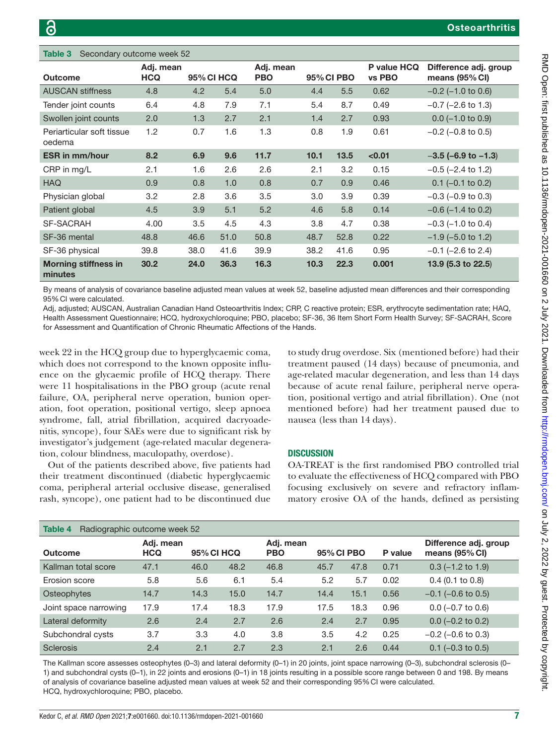<span id="page-6-0"></span>

| Table 3<br>Secondary outcome week 52   |                         |                   |      |                         |      |            |                       |                                           |
|----------------------------------------|-------------------------|-------------------|------|-------------------------|------|------------|-----------------------|-------------------------------------------|
| <b>Outcome</b>                         | Adj. mean<br><b>HCQ</b> | <b>95% CI HCQ</b> |      | Adj. mean<br><b>PBO</b> |      | 95% CI PBO | P value HCQ<br>vs PBO | Difference adj. group<br>means $(95%$ CI) |
| <b>AUSCAN stiffness</b>                | 4.8                     | 4.2               | 5.4  | 5.0                     | 4.4  | 5.5        | 0.62                  | $-0.2$ ( $-1.0$ to 0.6)                   |
| Tender joint counts                    | 6.4                     | 4.8               | 7.9  | 7.1                     | 5.4  | 8.7        | 0.49                  | $-0.7$ ( $-2.6$ to 1.3)                   |
| Swollen joint counts                   | 2.0                     | 1.3               | 2.7  | 2.1                     | 1.4  | 2.7        | 0.93                  | $0.0$ (-1.0 to 0.9)                       |
| Periarticular soft tissue<br>oedema    | 1.2                     | 0.7               | 1.6  | 1.3                     | 0.8  | 1.9        | 0.61                  | $-0.2$ ( $-0.8$ to 0.5)                   |
| <b>ESR in mm/hour</b>                  | 8.2                     | 6.9               | 9.6  | 11.7                    | 10.1 | 13.5       | < 0.01                | $-3.5$ (-6.9 to $-1.3$ )                  |
| CRP in mg/L                            | 2.1                     | 1.6               | 2.6  | 2.6                     | 2.1  | 3.2        | 0.15                  | $-0.5$ ( $-2.4$ to 1.2)                   |
| <b>HAQ</b>                             | 0.9                     | 0.8               | 1.0  | 0.8                     | 0.7  | 0.9        | 0.46                  | $0.1$ (-0.1 to 0.2)                       |
| Physician global                       | 3.2                     | 2.8               | 3.6  | 3.5                     | 3.0  | 3.9        | 0.39                  | $-0.3$ ( $-0.9$ to 0.3)                   |
| Patient global                         | 4.5                     | 3.9               | 5.1  | 5.2                     | 4.6  | 5.8        | 0.14                  | $-0.6$ ( $-1.4$ to 0.2)                   |
| <b>SF-SACRAH</b>                       | 4.00                    | 3.5               | 4.5  | 4.3                     | 3.8  | 4.7        | 0.38                  | $-0.3$ ( $-1.0$ to 0.4)                   |
| SF-36 mental                           | 48.8                    | 46.6              | 51.0 | 50.8                    | 48.7 | 52.8       | 0.22                  | $-1.9$ ( $-5.0$ to 1.2)                   |
| SF-36 physical                         | 39.8                    | 38.0              | 41.6 | 39.9                    | 38.2 | 41.6       | 0.95                  | $-0.1$ ( $-2.6$ to 2.4)                   |
| <b>Morning stiffness in</b><br>minutes | 30.2                    | 24.0              | 36.3 | 16.3                    | 10.3 | 22.3       | 0.001                 | 13.9 (5.3 to 22.5)                        |

By means of analysis of covariance baseline adjusted mean values at week 52, baseline adjusted mean differences and their corresponding 95%CI were calculated.

Adj, adjusted; AUSCAN, Australian Canadian Hand Osteoarthritis Index; CRP, C reactive protein; ESR, erythrocyte sedimentation rate; HAQ, Health Assessment Questionnaire; HCQ, hydroxychloroquine; PBO, placebo; SF-36, 36 Item Short Form Health Survey; SF-SACRAH, Score for Assessment and Quantification of Chronic Rheumatic Affections of the Hands.

week 22 in the HCQ group due to hyperglycaemic coma, which does not correspond to the known opposite influence on the glycaemic profile of HCQ therapy. There were 11 hospitalisations in the PBO group (acute renal failure, OA, peripheral nerve operation, bunion operation, foot operation, positional vertigo, sleep apnoea syndrome, fall, atrial fibrillation, acquired dacryoadenitis, syncope), four SAEs were due to significant risk by investigator's judgement (age-related macular degeneration, colour blindness, maculopathy, overdose).

Out of the patients described above, five patients had their treatment discontinued (diabetic hyperglycaemic coma, peripheral arterial occlusive disease, generalised rash, syncope), one patient had to be discontinued due

to study drug overdose. Six (mentioned before) had their treatment paused (14 days) because of pneumonia, and age-related macular degeneration, and less than 14 days because of acute renal failure, peripheral nerve operation, positional vertigo and atrial fibrillation). One (not mentioned before) had her treatment paused due to nausea (less than 14 days).

## **DISCUSSION**

OA-TREAT is the first randomised PBO controlled trial to evaluate the effectiveness of HCQ compared with PBO focusing exclusively on severe and refractory inflammatory erosive OA of the hands, defined as persisting

<span id="page-6-1"></span>

| Table 4<br>Radiographic outcome week 52 |                         |                   |      |                         |            |      |         |                                           |
|-----------------------------------------|-------------------------|-------------------|------|-------------------------|------------|------|---------|-------------------------------------------|
| Outcome                                 | Adj. mean<br><b>HCQ</b> | <b>95% CI HCQ</b> |      | Adj. mean<br><b>PBO</b> | 95% CI PBO |      | P value | Difference adj. group<br>means $(95%$ CI) |
| Kallman total score                     | 47.1                    | 46.0              | 48.2 | 46.8                    | 45.7       | 47.8 | 0.71    | $0.3$ (-1.2 to 1.9)                       |
| Erosion score                           | 5.8                     | 5.6               | 6.1  | 5.4                     | 5.2        | 5.7  | 0.02    | $0.4$ (0.1 to 0.8)                        |
| Osteophytes                             | 14.7                    | 14.3              | 15.0 | 14.7                    | 14.4       | 15.1 | 0.56    | $-0.1$ ( $-0.6$ to 0.5)                   |
| Joint space narrowing                   | 17.9                    | 17.4              | 18.3 | 17.9                    | 17.5       | 18.3 | 0.96    | $0.0$ (-0.7 to 0.6)                       |
| Lateral deformity                       | 2.6                     | 2.4               | 2.7  | 2.6                     | 2.4        | 2.7  | 0.95    | $0.0$ (-0.2 to 0.2)                       |
| Subchondral cysts                       | 3.7                     | 3.3               | 4.0  | 3.8                     | 3.5        | 4.2  | 0.25    | $-0.2$ ( $-0.6$ to 0.3)                   |
| <b>Sclerosis</b>                        | 2.4                     | 2.1               | 2.7  | 2.3                     | 2.1        | 2.6  | 0.44    | $0.1$ (-0.3 to 0.5)                       |

The Kallman score assesses osteophytes (0–3) and lateral deformity (0–1) in 20 joints, joint space narrowing (0–3), subchondral sclerosis (0– 1) and subchondral cysts (0–1), in 22 joints and erosions (0–1) in 18 joints resulting in a possible score range between 0 and 198. By means of analysis of covariance baseline adjusted mean values at week 52 and their corresponding 95%CI were calculated. HCQ, hydroxychloroquine; PBO, placebo.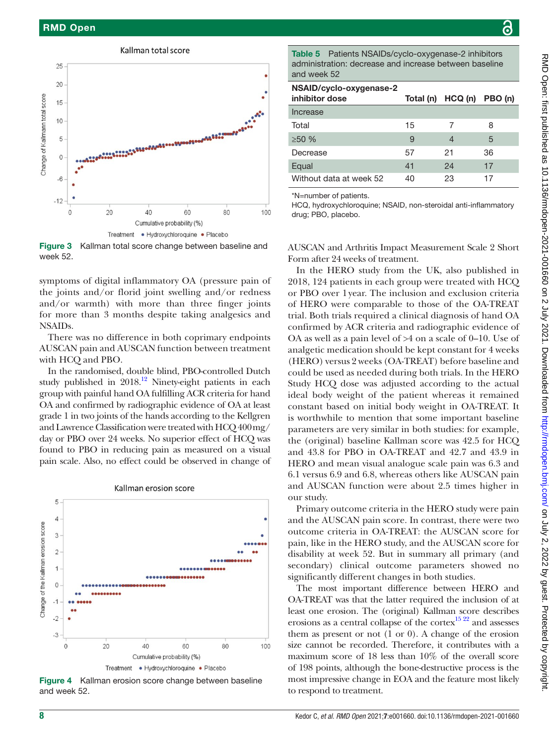

<span id="page-7-0"></span>Figure 3 Kallman total score change between baseline and week 52.

symptoms of digital inflammatory OA (pressure pain of the joints and/or florid joint swelling and/or redness and/or warmth) with more than three finger joints for more than 3 months despite taking analgesics and NSAIDs.

There was no difference in both coprimary endpoints AUSCAN pain and AUSCAN function between treatment with HCQ and PBO.

In the randomised, double blind, PBO-controlled Dutch study published in  $2018$ .<sup>12</sup> Ninety-eight patients in each group with painful hand OA fulfilling ACR criteria for hand OA and confirmed by radiographic evidence of OA at least grade 1 in two joints of the hands according to the Kellgren and Lawrence Classification were treated with HCQ 400mg/ day or PBO over 24 weeks. No superior effect of HCQ was found to PBO in reducing pain as measured on a visual pain scale. Also, no effect could be observed in change of



Kallman erosion score

Figure 4 Kallman erosion score change between baseline and week 52.

<span id="page-7-1"></span>AUSCAN and Arthritis Impact Measurement Scale 2 Short Form after 24 weeks of treatment. In the HERO study from the UK, also published in 2018, 124 patients in each group were treated with HCQ or PBO over 1year. The inclusion and exclusion criteria of HERO were comparable to those of the OA-TREAT trial. Both trials required a clinical diagnosis of hand OA confirmed by ACR criteria and radiographic evidence of OA as well as a pain level of >4 on a scale of 0–10. Use of analgetic medication should be kept constant for 4 weeks (HERO) versus 2 weeks (OA-TREAT) before baseline and could be used as needed during both trials. In the HERO Study HCQ dose was adjusted according to the actual ideal body weight of the patient whereas it remained constant based on initial body weight in OA-TREAT. It is worthwhile to mention that some important baseline Table 5 Patients NSAIDs/cyclo-oxygenase-2 inhibitors administration: decrease and increase between baseline and week 52 NSAID/cyclo-oxygenase-2 inhibitor dose Total (n) HCQ (n) PBO (n) Increase Total 15 7 8  $\geq$ 50 % 9 4 5 Decrease 57 21 36 Equal 17 24 17 Without data at week 52 40 23 17 \*N=number of patients. HCQ, hydroxychloroquine; NSAID, non-steroidal anti-inflammatory drug; PBO, placebo.

parameters are very similar in both studies: for example, the (original) baseline Kallman score was 42.5 for HCQ and 43.8 for PBO in OA-TREAT and 42.7 and 43.9 in HERO and mean visual analogue scale pain was 6.3 and 6.1 versus 6.9 and 6.8, whereas others like AUSCAN pain and AUSCAN function were about 2.5 times higher in our study.

Primary outcome criteria in the HERO study were pain and the AUSCAN pain score. In contrast, there were two outcome criteria in OA-TREAT: the AUSCAN score for pain, like in the HERO study, and the AUSCAN score for disability at week 52. But in summary all primary (and secondary) clinical outcome parameters showed no significantly different changes in both studies.

The most important difference between HERO and OA-TREAT was that the latter required the inclusion of at least one erosion. The (original) Kallman score describes erosions as a central collapse of the cortex $^{15\,22}$  and assesses them as present or not (1 or 0). A change of the erosion size cannot be recorded. Therefore, it contributes with a maximum score of 18 less than 10% of the overall score of 198 points, although the bone-destructive process is the most impressive change in EOA and the feature most likely to respond to treatment.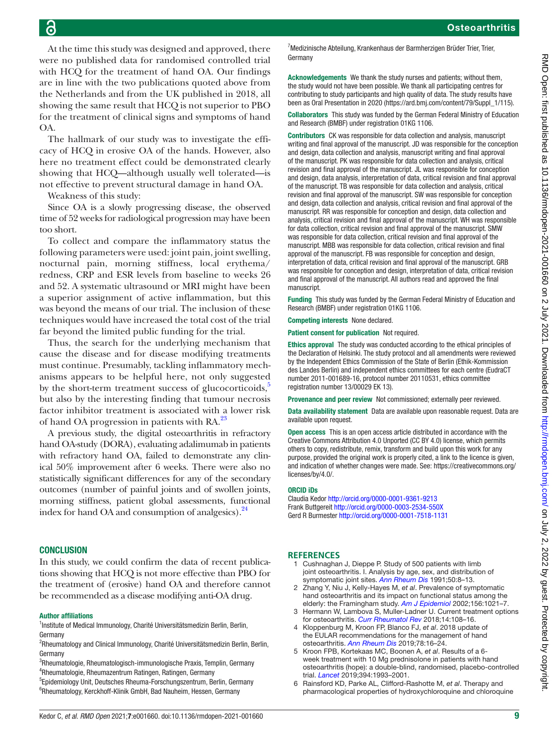At the time this study was designed and approved, there were no published data for randomised controlled trial with HCQ for the treatment of hand OA. Our findings are in line with the two publications quoted above from the Netherlands and from the UK published in 2018, all showing the same result that HCQ is not superior to PBO for the treatment of clinical signs and symptoms of hand OA.

The hallmark of our study was to investigate the efficacy of HCQ in erosive OA of the hands. However, also here no treatment effect could be demonstrated clearly showing that HCQ—although usually well tolerated—is not effective to prevent structural damage in hand OA.

Weakness of this study:

Since OA is a slowly progressing disease, the observed time of 52 weeks for radiological progression may have been too short.

To collect and compare the inflammatory status the following parameters were used: joint pain, joint swelling, nocturnal pain, morning stiffness, local erythema/ redness, CRP and ESR levels from baseline to weeks 26 and 52. A systematic ultrasound or MRI might have been a superior assignment of active inflammation, but this was beyond the means of our trial. The inclusion of these techniques would have increased the total cost of the trial far beyond the limited public funding for the trial.

Thus, the search for the underlying mechanism that cause the disease and for disease modifying treatments must continue. Presumably, tackling inflammatory mechanisms appears to be helpful here, not only suggested by the short-term treatment success of glucocorticoids, $\delta$ but also by the interesting finding that tumour necrosis factor inhibitor treatment is associated with a lower risk of hand OA progression in patients with RA.<sup>[23](#page-9-12)</sup>

A previous study, the digital osteoarthritis in refractory hand OA-study (DORA), evaluating adalimumab in patients with refractory hand OA, failed to demonstrate any clinical 50% improvement after 6 weeks. There were also no statistically significant differences for any of the secondary outcomes (number of painful joints and of swollen joints, morning stiffness, patient global assessments, functional index for hand OA and consumption of analgesics). $24$ 

## **CONCLUSION**

In this study, we could confirm the data of recent publications showing that HCQ is not more effective than PBO for the treatment of (erosive) hand OA and therefore cannot be recommended as a disease modifying anti-OA drug.

#### Author affiliations

<sup>1</sup>Institute of Medical Immunology, Charité Universitätsmedizin Berlin, Berlin, Germany

<sup>2</sup>Rheumatology and Clinical Immunology, Charité Universitätsmedizin Berlin, Berlin, Germany

- <sup>3</sup>Rheumatologie, Rheumatologisch-immunologische Praxis, Templin, Germany 4 Rheumatologie, Rheumazentrum Ratingen, Ratingen, Germany
- 5 Epidemiology Unit, Deutsches Rheuma-Forschungszentrum, Berlin, Germany <sup>6</sup>Rheumatology, Kerckhoff-Klinik GmbH, Bad Nauheim, Hessen, Germany

<sup>7</sup> Medizinische Abteilung, Krankenhaus der Barmherzigen Brüder Trier, Trier, Germany

Acknowledgements We thank the study nurses and patients; without them, the study would not have been possible. We thank all participating centres for contributing to study participants and high quality of data. The study results have been as Oral Presentation in 2020 [\(https://ard.bmj.com/content/79/Suppl\\_1/115\)](https://ard.bmj.com/content/79/Suppl_1/115).

Collaborators This study was funded by the German Federal Ministry of Education and Research (BMBF) under registration 01KG 1106.

Contributors CK was responsible for data collection and analysis, manuscript writing and final approval of the manuscript. JD was responsible for the conception and design, data collection and analysis, manuscript writing and final approval of the manuscript. PK was responsible for data collection and analysis, critical revision and final approval of the manuscript. JL was responsible for conception and design, data analysis, interpretation of data, critical revision and final approval of the manuscript. TB was responsible for data collection and analysis, critical revision and final approval of the manuscript. SW was responsible for conception and design, data collection and analysis, critical revision and final approval of the manuscript. RR was responsible for conception and design, data collection and analysis, critical revision and final approval of the manuscript. WH was responsible for data collection, critical revision and final approval of the manuscript. SMW was responsible for data collection, critical revision and final approval of the manuscript. MBB was responsible for data collection, critical revision and final approval of the manuscript. FB was responsible for conception and design, interpretation of data, critical revision and final approval of the manuscript. GRB was responsible for conception and design, interpretation of data, critical revision and final approval of the manuscript. All authors read and approved the final manuscript.

Funding This study was funded by the German Federal Ministry of Education and Research (BMBF) under registration 01KG 1106.

Competing interests None declared.

Patient consent for publication Not required.

Ethics approval The study was conducted according to the ethical principles of the Declaration of Helsinki. The study protocol and all amendments were reviewed by the Independent Ethics Commission of the State of Berlin (Ethik-Kommission des Landes Berlin) and independent ethics committees for each centre (EudraCT number 2011-001689-16, protocol number 20110531, ethics committee registration number 13/00029 EK 13).

Provenance and peer review Not commissioned; externally peer reviewed.

Data availability statement Data are available upon reasonable request. Data are available upon request.

Open access This is an open access article distributed in accordance with the Creative Commons Attribution 4.0 Unported (CC BY 4.0) license, which permits others to copy, redistribute, remix, transform and build upon this work for any purpose, provided the original work is properly cited, a link to the licence is given, and indication of whether changes were made. See: [https://creativecommons.org/](https://creativecommons.org/licenses/by/4.0/) [licenses/by/4.0/](https://creativecommons.org/licenses/by/4.0/).

#### ORCID iDs

Claudia Kedor <http://orcid.org/0000-0001-9361-9213> Frank Buttgereit<http://orcid.org/0000-0003-2534-550X> Gerd R Burmester <http://orcid.org/0000-0001-7518-1131>

#### <span id="page-8-0"></span>**REFERENCES**

- 1 Cushnaghan J, Dieppe P. Study of 500 patients with limb joint osteoarthritis. I. Analysis by age, sex, and distribution of symptomatic joint sites. *[Ann Rheum Dis](http://dx.doi.org/10.1136/ard.50.1.8)* 1991;50:8–13.
- 2 Zhang Y, Niu J, Kelly-Hayes M, *et al*. Prevalence of symptomatic hand osteoarthritis and its impact on functional status among the elderly: the Framingham study. *[Am J Epidemiol](http://dx.doi.org/10.1093/aje/kwf141)* 2002;156:1021–7.
- <span id="page-8-1"></span>3 Hermann W, Lambova S, Muller-Ladner U. Current treatment options for osteoarthritis. *[Curr Rheumatol Rev](http://dx.doi.org/10.2174/1573397113666170829155149)* 2018;14:108–16.
- <span id="page-8-2"></span>4 Kloppenburg M, Kroon FP, Blanco FJ, *et al*. 2018 update of the EULAR recommendations for the management of hand osteoarthritis. *[Ann Rheum Dis](http://dx.doi.org/10.1136/annrheumdis-2018-213826)* 2019;78:16–24.
- <span id="page-8-3"></span>5 Kroon FPB, Kortekaas MC, Boonen A, *et al*. Results of a 6 week treatment with 10 Mg prednisolone in patients with hand osteoarthritis (hope): a double-blind, randomised, placebo-controlled trial. *[Lancet](http://dx.doi.org/10.1016/S0140-6736(19)32489-4)* 2019;394:1993–2001.
- <span id="page-8-4"></span>6 Rainsford KD, Parke AL, Clifford-Rashotte M, *et al*. Therapy and pharmacological properties of hydroxychloroquine and chloroquine